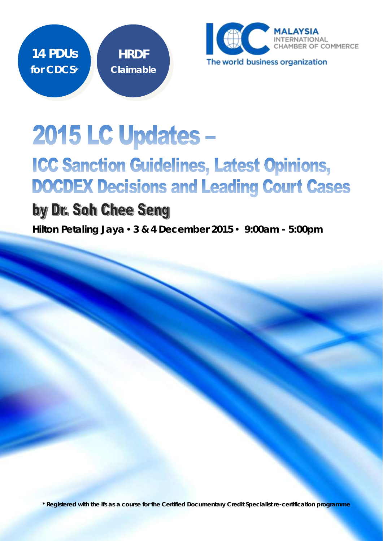



# 2015 LC Updates -

# **ICC Sanction Guidelines, Latest Opinions, DOCDEX Decisions and Leading Court Cases**

## by Dr. Soh Chee Seng

**Hilton Petaling Jaya • 3 & 4 December 2015 • 9:00am - 5:00pm**

**\* Registered with the** *ifs* **as a course for the Certified Documentary Credit Specialist re-certification programme**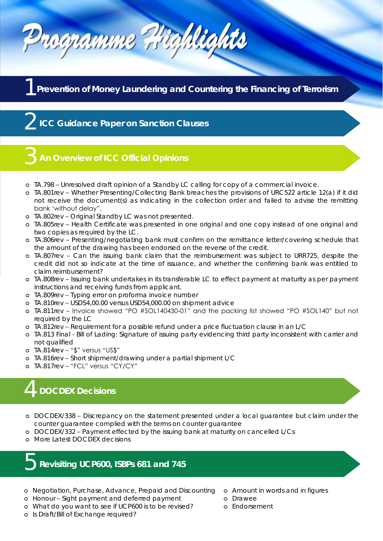

*1* **Prevention of Money Laundering and Countering the Financing of Terrorism**

*2* **ICC Guidance Paper on Sanction Clauses**

- ᴑ TA.798 Unresolved draft opinion of a Standby LC calling for copy of a commercial invoice.
- ᴑ TA.801rev Whether Presenting/Collecting Bank breaches the provisions of URC522 article 12(a) if it did not receive the document(s) as indicating in the collection order and failed to advise the remitting bank 'without delay".
- ᴑ TA.802rev Original Standby LC was not presented.
- ᴑ TA.805rev Health Certificate was presented in one original and one copy instead of one original and two copies as required by the LC.
- ᴑ TA.806rev Presenting/negotiating bank must confirm on the remittance letter/covering schedule that the amount of the drawing has been endorsed on the reverse of the credit.
- ᴑ TA.807rev Can the issuing bank claim that the reimbursement was subject to URR725, despite the credit did not so indicate at the time of issuance, and whether the confirming bank was entitled to claim reimbursement?
- ᴑ TA.808rev Issuing bank undertakes in its transferable LC to effect payment at maturity as per payment instructions and receiving funds from applicant.
- ᴑ TA.809rev Typing error on proforma invoice number
- ᴑ TA.810rev USD54,00.00 versus USD54,000.00 on shipment advice
- ᴑ TA.811rev Invoice showed "PO #SOL140430-01" and the packing list showed "PO #SOL140" but not required by the LC
- ᴑ TA.812rev Requirement for a possible refund under a price fluctuation clause in an L/C
- o TA.813 Final Bill of Lading: Signature of issuing party evidencing third party inconsistent with carrier and not qualified
- ᴑ TA.814rev "\$" versus "US\$"
- ᴑ TA.816rev Short shipment/drawing under a partial shipment L/C
- ᴑ TA.817rev "FCL" versus "CY/CY"

## *4* **DOCDEX Decisions**

- ᴑ DOCDEX/338 Discrepancy on the statement presented under a local guarantee but claim under the counter guarantee complied with the terms on counter guarantee
- ᴑ DOCDEX/332 Payment effected by the issuing bank at maturity on cancelled L/Cs
- ᴑ More Latest DOCDEX decisions



- **○** Negotiation, Purchase, Advance, Prepaid and Discounting Amount in words and in figures
- ᴑ Honour Sight payment and deferred payment
- ᴑ What do you want to see if UCP600 is to be revised?
- o Is Draft/Bill of Exchange required?
- 
- ᴑ Drawee
- ᴑ Endorsement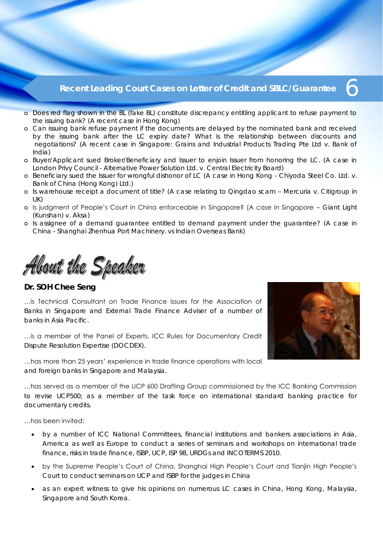### **Recent Leading Court Cases on Letter of Credit and SBLC/Guarantee** *6*

- ᴑ Does red flag shown in the BL (fake BL) constitute discrepancy entitling applicant to refuse payment to the issuing bank? (A recent case in Hong Kong)
- ᴑ Can issuing bank refuse payment if the documents are delayed by the nominated bank and received by the issuing bank after the LC expiry date? What is the relationship between discounts and negotiations? (A recent case in Singapore: Grains and Industrial Products Trading Pte Ltd v. Bank of India)
- ᴑ Buyer/Applicant sued Broker/Beneficiary and Issuer to enjoin Issuer from honoring the LC. (A case in London Privy Council - Alternative Power Solution Ltd. v. Central Electricity Board)
- ᴑ Beneficiary sued the Issuer for wrongful dishonor of LC (A case in Hong Kong Chiyoda Steel Co. Ltd. v. Bank of China (Hong Kong) Ltd.)
- ᴑ Is warehouse receipt a document of title? (A case relating to Qingdao scam Mercuria v. Citigroup in UK)
- ᴑ Is judgment of People's Court in China enforceable in Singapore? (A case in Singapore Giant Light (Kunshan) v. Aksa)
- ᴑ Is assignee of a demand guarantee entitled to demand payment under the guarantee? (A case in China - Shanghai Zhenhua Port Machinery. vs Indian Overseas Bank)

About the Speaker

**Dr. SOH Chee Seng**

…is Technical Consultant on Trade Finance issues for the Association of Banks in Singapore and External Trade Finance Adviser of a number of banks in Asia Pacific.

…is a member of the Panel of Experts, ICC Rules for Documentary Credit Dispute Resolution Expertise (DOCDEX).



…has more than 25 years' experience in trade finance operations with local and foreign banks in Singapore and Malaysia.

…has served as a member of the UCP 600 Drafting Group commissioned by the ICC Banking Commission to revise UCP500; as a member of the task force on international standard banking practice for documentary credits.

…has been invited:

- by a number of ICC National Committees, financial institutions and bankers associations in Asia, America as well as Europe to conduct a series of seminars and workshops on international trade finance, risks in trade finance, ISBP, UCP, ISP 98, URDGs and INCOTERMS 2010.
- by the Supreme People's Court of China, Shanghai High People's Court and Tianjin High People's Court to conduct seminars on UCP and ISBP for the judges in China
- as an expert witness to give his opinions on numerous LC cases in China, Hong Kong, Malaysia, Singapore and South Korea.